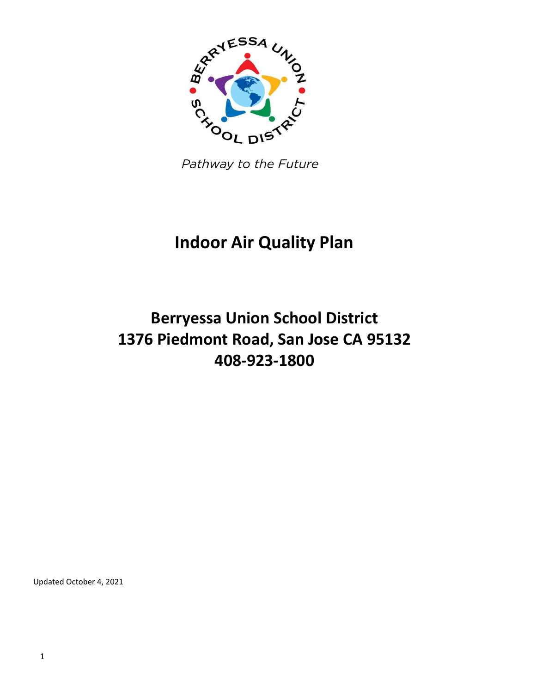

Pathway to the Future

# **Indoor Air Quality Plan**

# **Berryessa Union School District 1376 Piedmont Road, San Jose CA 95132 408-923-1800**

Updated October 4, 2021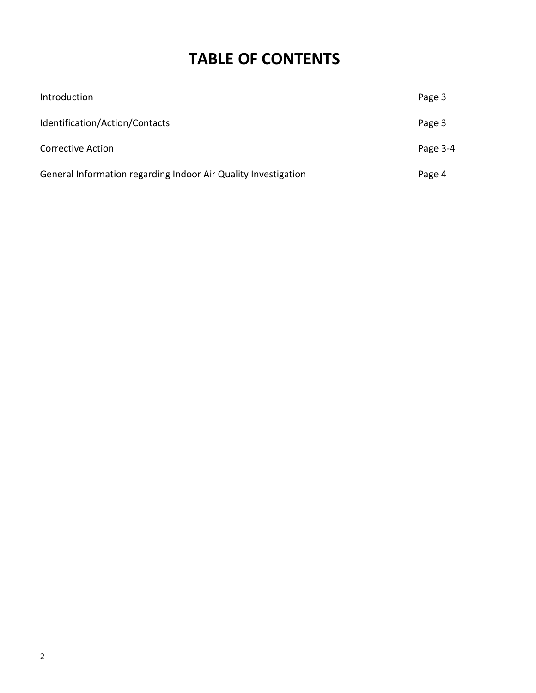## **TABLE OF CONTENTS**

| Introduction                                                   | Page 3   |
|----------------------------------------------------------------|----------|
| Identification/Action/Contacts                                 | Page 3   |
| <b>Corrective Action</b>                                       | Page 3-4 |
| General Information regarding Indoor Air Quality Investigation | Page 4   |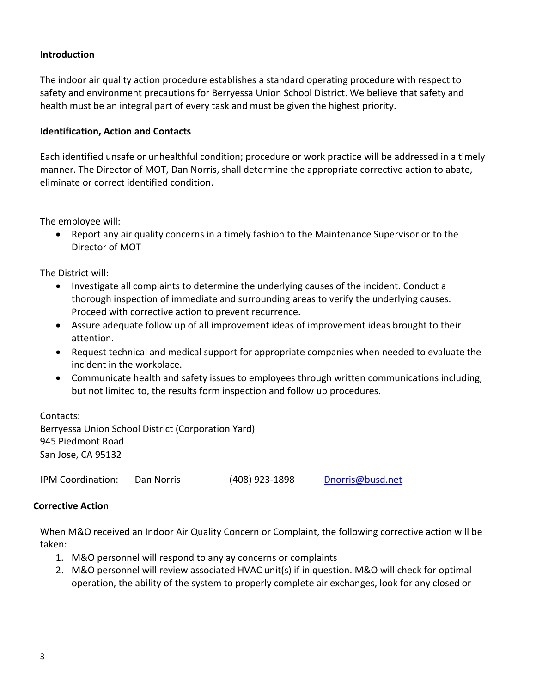### **Introduction**

The indoor air quality action procedure establishes a standard operating procedure with respect to safety and environment precautions for Berryessa Union School District. We believe that safety and health must be an integral part of every task and must be given the highest priority.

#### **Identification, Action and Contacts**

Each identified unsafe or unhealthful condition; procedure or work practice will be addressed in a timely manner. The Director of MOT, Dan Norris, shall determine the appropriate corrective action to abate, eliminate or correct identified condition.

The employee will:

 Report any air quality concerns in a timely fashion to the Maintenance Supervisor or to the Director of MOT

The District will:

- Investigate all complaints to determine the underlying causes of the incident. Conduct a thorough inspection of immediate and surrounding areas to verify the underlying causes. Proceed with corrective action to prevent recurrence.
- Assure adequate follow up of all improvement ideas of improvement ideas brought to their attention.
- Request technical and medical support for appropriate companies when needed to evaluate the incident in the workplace.
- Communicate health and safety issues to employees through written communications including, but not limited to, the results form inspection and follow up procedures.

Contacts: Berryessa Union School District (Corporation Yard) 945 Piedmont Road San Jose, CA 95132

IPM Coordination: Dan Norris (408) 923-1898 [Dnorris@busd.net](mailto:Dnorris@busd.net)

#### **Corrective Action**

When M&O received an Indoor Air Quality Concern or Complaint, the following corrective action will be taken:

- 1. M&O personnel will respond to any ay concerns or complaints
- 2. M&O personnel will review associated HVAC unit(s) if in question. M&O will check for optimal operation, the ability of the system to properly complete air exchanges, look for any closed or